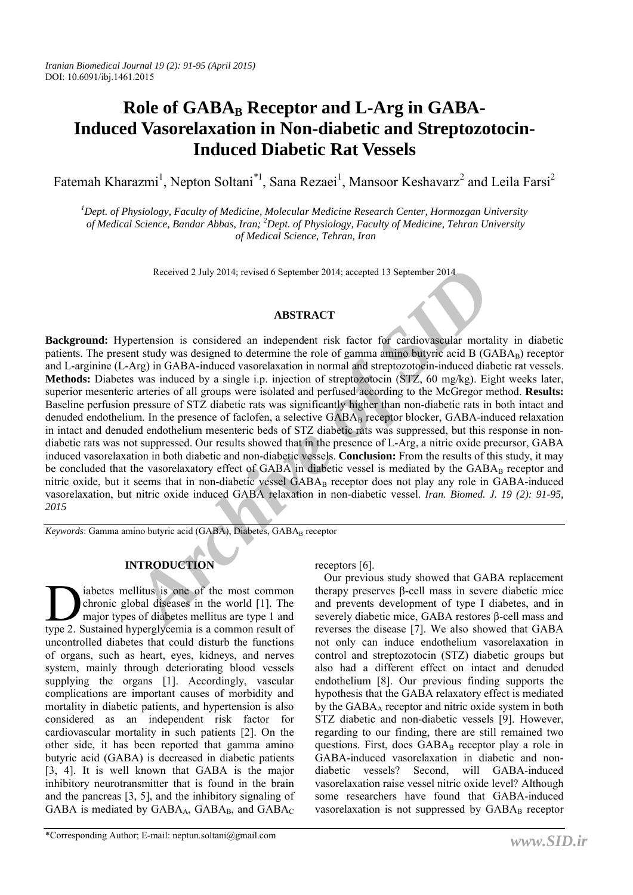# Role of GABA<sub>B</sub> Receptor and L-Arg in GABA-**Induced Vasorelaxation in Non-diabetic and Streptozotocin-Induced Diabetic Rat Vessels**

Fatemah Kharazmi<sup>1</sup>, Nepton Soltani<sup>\*1</sup>, Sana Rezaei<sup>1</sup>, Mansoor Keshavarz<sup>2</sup> and Leila Farsi<sup>2</sup>

*1 Dept. of Physiology, Faculty of Medicine, Molecular Medicine Research Center, Hormozgan University of Medical Science, Bandar Abbas, Iran; <sup>2</sup> Dept. of Physiology, Faculty of Medicine, Tehran University of Medical Science, Tehran, Iran*

Received 2 July 2014; revised 6 September 2014; accepted 13 September 2014

# **ABSTRACT**

Received 2 July 2014; revised 6 September 2014; accepted 13 September 2014<br> **ABSTRACT**<br> **ABSTRACT**<br> **ARCHIVE ARCO**<br> **ABSTRACT**<br> **ABSTRACT**<br> **ABSTRACT**<br> **ABSTRACT**<br> **ARCO**<br> **ARCO**<br> **ARCO**<br> **ARCO**<br> **ARCO**<br> **ARCO**<br> **ARCO**<br> **A Background:** Hypertension is considered an independent risk factor for cardiovascular mortality in diabetic patients. The present study was designed to determine the role of gamma amino butyric acid B (GABA<sub>B</sub>) receptor and L-arginine (L-Arg) in GABA-induced vasorelaxation in normal and streptozotocin-induced diabetic rat vessels. **Methods:** Diabetes was induced by a single i.p. injection of streptozotocin (STZ, 60 mg/kg). Eight weeks later, superior mesenteric arteries of all groups were isolated and perfused according to the McGregor method. **Results:** Baseline perfusion pressure of STZ diabetic rats was significantly higher than non-diabetic rats in both intact and denuded endothelium. In the presence of faclofen, a selective  $GABA_B$  receptor blocker,  $GABA$ -induced relaxation in intact and denuded endothelium mesenteric beds of STZ diabetic rats was suppressed, but this response in nondiabetic rats was not suppressed. Our results showed that in the presence of L-Arg, a nitric oxide precursor, GABA induced vasorelaxation in both diabetic and non-diabetic vessels. **Conclusion:** From the results of this study, it may be concluded that the vasorelaxatory effect of GABA in diabetic vessel is mediated by the GABA<sub>B</sub> receptor and nitric oxide, but it seems that in non-diabetic vessel GABA<sub>B</sub> receptor does not play any role in GABA-induced vasorelaxation, but nitric oxide induced GABA relaxation in non-diabetic vessel. *Iran. Biomed. J. 19 (2): 91-95, 2015*

*Keywords*: Gamma amino butyric acid (GABA), Diabetes, GABAB receptor

# **INTRODUCTION**

iabetes mellitus is one of the most common chronic global diseases in the world [1]. The major types of diabetes mellitus are type 1 and abetes mellitus is one of the most common chronic global diseases in the world [1]. The major types of diabetes mellitus are type 1 and type 2. Sustained hyperglycemia is a common result of uncontrolled diabetes that could disturb the functions of organs, such as heart, eyes, kidneys, and nerves system, mainly through deteriorating blood vessels supplying the organs [1]. Accordingly, vascular complications are important causes of morbidity and mortality in diabetic patients, and hypertension is also considered as an independent risk factor for cardiovascular mortality in such patients [2]. On the other side, it has been reported that gamma amino butyric acid (GABA) is decreased in diabetic patients [3, 4]. It is well known that GABA is the major inhibitory neurotransmitter that is found in the brain and the pancreas [3, 5], and the inhibitory signaling of GABA is mediated by  $GABA_A$ ,  $GABA_B$ , and  $GABA_C$ 

receptors [6].

Our previous study showed that GABA replacement therapy preserves β-cell mass in severe diabetic mice and prevents development of type I diabetes, and in severely diabetic mice, GABA restores β-cell mass and reverses the disease [7]. We also showed that GABA not only can induce endothelium vasorelaxation in control and streptozotocin (STZ) diabetic groups but also had a different effect on intact and denuded endothelium [8]. Our previous finding supports the hypothesis that the GABA relaxatory effect is mediated by the  $GABA_A$  receptor and nitric oxide system in both STZ diabetic and non-diabetic vessels [9]. However, regarding to our finding, there are still remained two questions. First, does  $GABA_B$  receptor play a role in GABA-induced vasorelaxation in diabetic and nondiabetic vessels? Second, will GABA-induced vasorelaxation raise vessel nitric oxide level? Although some researchers have found that GABA-induced vasorelaxation is not suppressed by GABAB receptor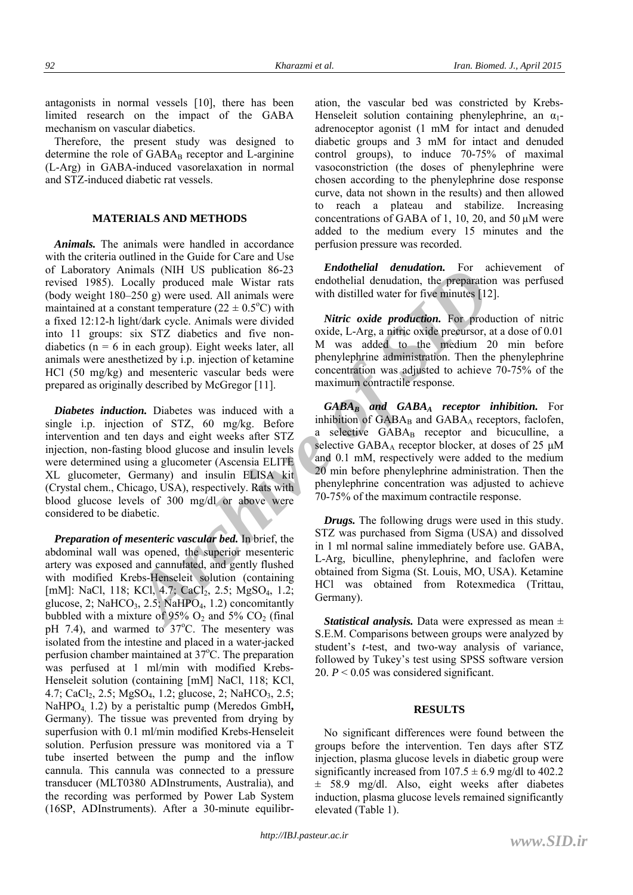antagonists in normal vessels [10], there has been limited research on the impact of the GABA mechanism on vascular diabetics.

Therefore, the present study was designed to determine the role of  $GABA_B$  receptor and L-arginine (L-Arg) in GABA-induced vasorelaxation in normal and STZ-induced diabetic rat vessels.

### **MATERIALS AND METHODS**

inmals (NIH US publication 86-23<br>
cocally produced male Wistra rats<br>
endothelial denudation, the preparation<br>
2-50 g) were used. All animals were<br>  $\frac{2.50 \text{ g}}{3}$  were used. All animals were with distilled water for five *Animals.* The animals were handled in accordance with the criteria outlined in the Guide for Care and Use of Laboratory Animals (NIH US publication 86-23 revised 1985). Locally produced male Wistar rats (body weight 180–250 g) were used. All animals were maintained at a constant temperature ( $22 \pm 0.5$ °C) with a fixed 12:12-h light/dark cycle. Animals were divided into 11 groups: six STZ diabetics and five nondiabetics ( $n = 6$  in each group). Eight weeks later, all animals were anesthetized by i.p. injection of ketamine HCl (50 mg/kg) and mesenteric vascular beds were prepared as originally described by McGregor [11].

*Diabetes induction.* Diabetes was induced with a single i.p. injection of STZ, 60 mg/kg. Before intervention and ten days and eight weeks after STZ injection, non-fasting blood glucose and insulin levels were determined using a glucometer (Ascensia ELITE XL glucometer, Germany) and insulin ELISA kit (Crystal chem., Chicago, USA), respectively. Rats with blood glucose levels of 300 mg/dl or above were considered to be diabetic.

*Preparation of mesenteric vascular bed.* In brief, the abdominal wall was opened, the superior mesenteric artery was exposed and cannulated, and gently flushed with modified Krebs-Henseleit solution (containing [mM]: NaCl, 118; KCl, 4.7; CaCl<sub>2</sub>, 2.5; MgSO<sub>4</sub>, 1.2; glucose, 2; NaHCO<sub>3</sub>, 2.5; NaHPO<sub>4</sub>, 1.2) concomitantly bubbled with a mixture of 95%  $O_2$  and 5%  $CO_2$  (final pH 7.4), and warmed to  $37^{\circ}$ C. The mesentery was isolated from the intestine and placed in a water-jacked perfusion chamber maintained at 37°C. The preparation was perfused at 1 ml/min with modified Krebs-Henseleit solution (containing [mM] NaCl, 118; KCl, 4.7; CaCl<sub>2</sub>, 2.5; MgSO<sub>4</sub>, 1.2; glucose, 2; NaHCO<sub>3</sub>, 2.5; NaHPO4, 1.2) by a peristaltic pump (Meredos GmbH**,**  Germany). The tissue was prevented from drying by superfusion with 0.1 ml/min modified Krebs-Henseleit solution. Perfusion pressure was monitored via a T tube inserted between the pump and the inflow cannula. This cannula was connected to a pressure transducer (MLT0380 ADInstruments, Australia), and the recording was performed by Power Lab System (16SP, ADInstruments). After a 30-minute equilibration, the vascular bed was constricted by Krebs-Henseleit solution containing phenylephrine, an  $\alpha_1$ adrenoceptor agonist (1 mM for intact and denuded diabetic groups and 3 mM for intact and denuded control groups), to induce 70-75% of maximal vasoconstriction (the doses of phenylephrine were chosen according to the phenylephrine dose response curve, data not shown in the results) and then allowed to reach a plateau and stabilize. Increasing concentrations of GABA of 1, 10, 20, and 50 µM were added to the medium every 15 minutes and the perfusion pressure was recorded.

*Endothelial denudation.* For achievement of endothelial denudation, the preparation was perfused with distilled water for five minutes [12].

*Nitric oxide production.* For production of nitric oxide, L-Arg, a nitric oxide precursor, at a dose of 0.01 M was added to the medium 20 min before phenylephrine administration. Then the phenylephrine concentration was adjusted to achieve 70-75% of the maximum contractile response.

*GABAB and GABAA receptor inhibition.* For inhibition of  $GABA_B$  and  $GABA_A$  receptors, faclofen, a selective GABA<sub>B</sub> receptor and bicuculline, a selective  $GABA_A$  receptor blocker, at doses of 25  $\mu$ M and 0.1 mM, respectively were added to the medium 20 min before phenylephrine administration. Then the phenylephrine concentration was adjusted to achieve 70-75% of the maximum contractile response.

*Drugs.* The following drugs were used in this study. STZ was purchased from Sigma (USA) and dissolved in 1 ml normal saline immediately before use. GABA, L-Arg, biculline, phenylephrine, and faclofen were obtained from Sigma (St. Louis, MO, USA). Ketamine HCl was obtained from Rotexmedica (Trittau, Germany).

*Statistical analysis.* Data were expressed as mean  $\pm$ S.E.M. Comparisons between groups were analyzed by student's *t*-test, and two-way analysis of variance, followed by Tukey's test using SPSS software version 20.  $P < 0.05$  was considered significant.

#### **RESULTS**

No significant differences were found between the groups before the intervention. Ten days after STZ injection, plasma glucose levels in diabetic group were significantly increased from  $107.5 \pm 6.9$  mg/dl to 402.2 ± 58.9 mg/dl. Also, eight weeks after diabetes induction, plasma glucose levels remained significantly elevated (Table 1).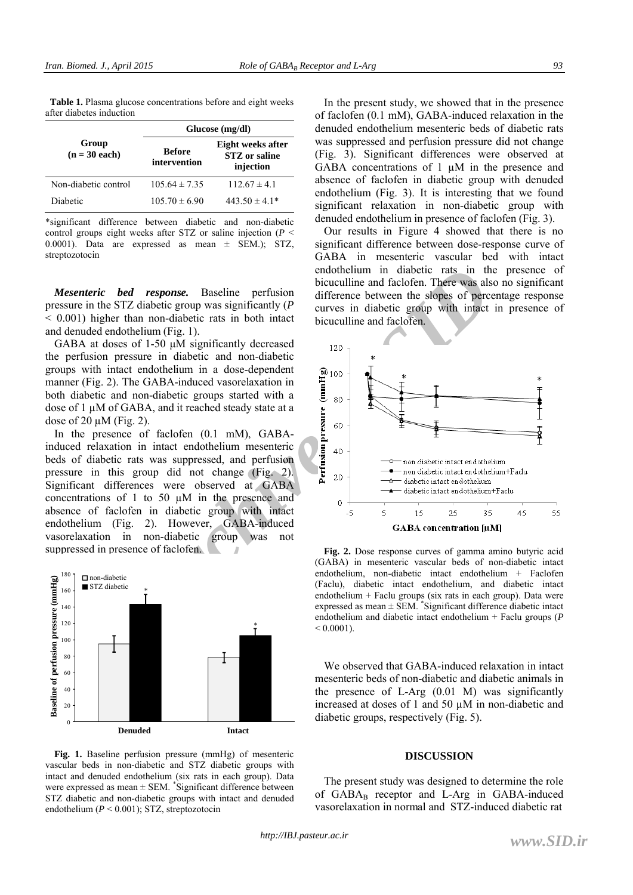**Table 1.** Plasma glucose concentrations before and eight weeks after diabetes induction

| Group<br>$(n = 30$ each) | Glucose (mg/dl)               |                                                        |
|--------------------------|-------------------------------|--------------------------------------------------------|
|                          | <b>Before</b><br>intervention | Eight weeks after<br><b>STZ</b> or saline<br>injection |
| Non-diabetic control     | $105.64 \pm 7.35$             | $112.67 \pm 4.1$                                       |
| Diabetic                 | $105.70 \pm 6.90$             | $443.50 \pm 4.1*$                                      |

\*significant difference between diabetic and non-diabetic control groups eight weeks after STZ or saline injection (*P* < 0.0001). Data are expressed as mean ± SEM.); STZ, streptozotocin

*Mesenteric bed response.* Baseline perfusion pressure in the STZ diabetic group was significantly (*P* < 0.001) higher than non-diabetic rats in both intact and denuded endothelium (Fig. 1).

GABA at doses of 1-50 μM significantly decreased the perfusion pressure in diabetic and non-diabetic groups with intact endothelium in a dose-dependent manner (Fig. 2). The GABA-induced vasorelaxation in both diabetic and non-diabetic groups started with a dose of 1 µM of GABA, and it reached steady state at a dose of  $20 \mu M$  (Fig. 2).

In the presence of faclofen (0.1 mM), GABAinduced relaxation in intact endothelium mesenteric beds of diabetic rats was suppressed, and perfusion pressure in this group did not change (Fig. 2). Significant differences were observed at GABA concentrations of 1 to 50 µM in the presence and absence of faclofen in diabetic group with intact endothelium (Fig. 2). However, GABA-induced vasorelaxation in non-diabetic group was not suppressed in presence of faclofen.



**Fig. 1.** Baseline perfusion pressure (mmHg) of mesenteric vascular beds in non-diabetic and STZ diabetic groups with intact and denuded endothelium (six rats in each group). Data were expressed as mean  $\pm$  SEM. \*Significant difference between STZ diabetic and non-diabetic groups with intact and denuded endothelium  $(P \le 0.001)$ ; STZ, streptozotocin

In the present study, we showed that in the presence of faclofen (0.1 mM), GABA-induced relaxation in the denuded endothelium mesenteric beds of diabetic rats was suppressed and perfusion pressure did not change (Fig. 3). Significant differences were observed at GABA concentrations of  $1 \mu M$  in the presence and absence of faclofen in diabetic group with denuded endothelium (Fig. 3). It is interesting that we found significant relaxation in non-diabetic group with denuded endothelium in presence of faclofen (Fig. 3).

Our results in Figure 4 showed that there is no significant difference between dose-response curve of GABA in mesenteric vascular bed with intact endothelium in diabetic rats in the presence of bicuculline and faclofen. There was also no significant difference between the slopes of percentage response curves in diabetic group with intact in presence of bicuculline and faclofen.



**Fig. 2.** Dose response curves of gamma amino butyric acid (GABA) in mesenteric vascular beds of non-diabetic intact endothelium, non-diabetic intact endothelium + Faclofen (Faclu), diabetic intact endothelium, and diabetic intact endothelium + Faclu groups (six rats in each group). Data were expressed as mean ± SEM. \* Significant difference diabetic intact endothelium and diabetic intact endothelium + Faclu groups (*P*  $< 0.0001$ 

We observed that GABA-induced relaxation in intact mesenteric beds of non-diabetic and diabetic animals in the presence of L-Arg (0.01 M) was significantly increased at doses of 1 and 50 µM in non-diabetic and diabetic groups, respectively (Fig. 5).

#### **DISCUSSION**

The present study was designed to determine the role of  $GABA_B$  receptor and L-Arg in  $GABA$ -induced vasorelaxation in normal and STZ-induced diabetic rat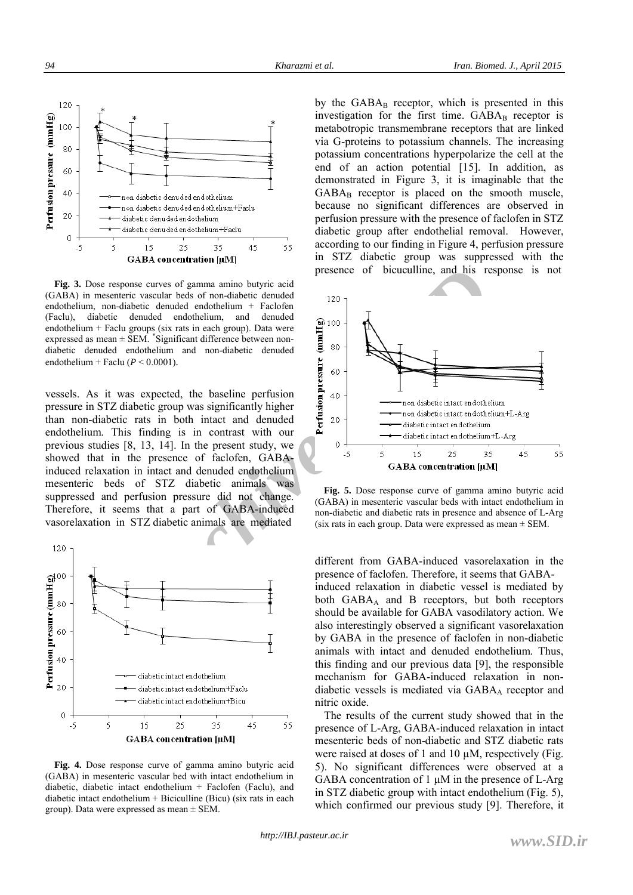

**Fig. 3.** Dose response curves of gamma amino butyric acid (GABA) in mesenteric vascular beds of non-diabetic denuded endothelium, non-diabetic denuded endothelium + Faclofen (Faclu), diabetic denuded endothelium, and denuded endothelium + Faclu groups (six rats in each group). Data were expressed as mean  $\pm$  SEM. \*Significant difference between nondiabetic denuded endothelium and non-diabetic denuded endothelium + Faclu ( $P < 0.0001$ ).

vessels. As it was expected, the baseline perfusion pressure in STZ diabetic group was significantly higher than non-diabetic rats in both intact and denuded endothelium. This finding is in contrast with our previous studies [8, 13, 14]. In the present study, we showed that in the presence of faclofen, GABAinduced relaxation in intact and denuded endothelium mesenteric beds of STZ diabetic animals was suppressed and perfusion pressure did not change. Therefore, it seems that a part of GABA-induced vasorelaxation in STZ diabetic animals are mediated



**Fig. 4.** Dose response curve of gamma amino butyric acid (GABA) in mesenteric vascular bed with intact endothelium in diabetic, diabetic intact endothelium + Faclofen (Faclu), and diabetic intact endothelium + Biciculline (Bicu) (six rats in each group). Data were expressed as mean  $\pm$  SEM.

by the  $GABA_B$  receptor, which is presented in this investigation for the first time.  $GABA_B$  receptor is metabotropic transmembrane receptors that are linked via G-proteins to potassium channels. The increasing potassium concentrations hyperpolarize the cell at the end of an action potential [15]. In addition, as demonstrated in Figure 3, it is imaginable that the  $GABA_B$  receptor is placed on the smooth muscle, because no significant differences are observed in perfusion pressure with the presence of faclofen in STZ diabetic group after endothelial removal. However, according to our finding in Figure 4, perfusion pressure in STZ diabetic group was suppressed with the presence of bicuculline, and his response is not



**Fig. 5.** Dose response curve of gamma amino butyric acid (GABA) in mesenteric vascular beds with intact endothelium in non-diabetic and diabetic rats in presence and absence of L-Arg (six rats in each group. Data were expressed as mean  $\pm$  SEM.

different from GABA-induced vasorelaxation in the presence of faclofen. Therefore, it seems that GABAinduced relaxation in diabetic vessel is mediated by both  $GABA_A$  and B receptors, but both receptors should be available for GABA vasodilatory action. We also interestingly observed a significant vasorelaxation by GABA in the presence of faclofen in non-diabetic animals with intact and denuded endothelium. Thus, this finding and our previous data [9], the responsible mechanism for GABA-induced relaxation in nondiabetic vessels is mediated via  $GABA_A$  receptor and nitric oxide.

The results of the current study showed that in the presence of L-Arg, GABA-induced relaxation in intact mesenteric beds of non-diabetic and STZ diabetic rats were raised at doses of 1 and 10  $\mu$ M, respectively (Fig. 5). No significant differences were observed at a GABA concentration of  $1 \mu$ M in the presence of L-Arg in STZ diabetic group with intact endothelium (Fig. 5), which confirmed our previous study [9]. Therefore, it